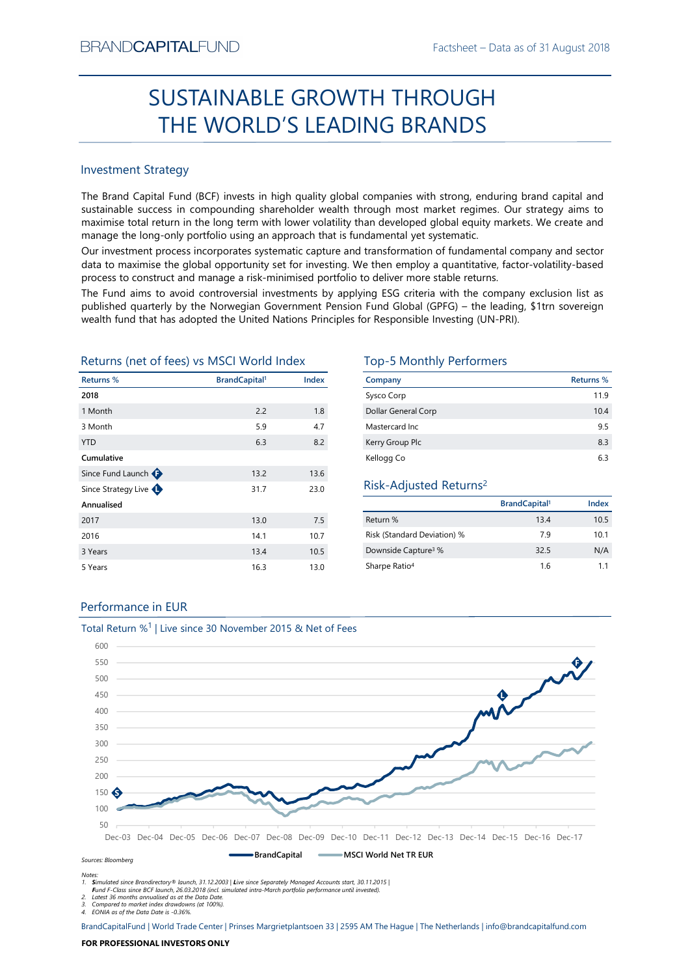# Factsheet – Data as of 31 August 2018<br> **CUGH** SUSTAINABLE GROWTH THROUGH THE WORLD'S LEADING BRANDS

# Investment Strategy

BRAND**CAPITAL**FUND<br>
Factsheet – Data as of 31 August 2018<br> **SUSTAINABLE GROWTH THROUGH**<br> **THE WORLD'S LEADING BRANDS**<br>
Investment Strategy<br>
Investment Strategy<br>
Investment Strategy<br>
Investment Strategy<br>
Investment Strategy  $\begin{array}{c} \text{Factsheet} - \text{Data as of 31 August 2018}\\ \text{SUSTAINABLE GROWTH THROUGH}\\ \text{THE WORLD'S LEADING BRAMDS}\\ \text{Investment Strategy} \end{array} \end{array}$ BRAND**CAPITAL**FUND<br>
SUSTAINABLE GROWTH THROUGH<br>
THE WORLD'S LEADING BRANDS<br>
Investment strategy<br>
Inte Brand Capital Fund (BCF) invests in high quality global companies with strong, enduring brand capital and<br>
sustainable s EXANDCAPITALFUND<br>
Factsheet – Data as of 31 August 2018<br>
SUSTAINABLE GROWTH THROUGH<br>
THE WORLD'S LEADING BRANDS<br>
Investment Strategy<br>
The Brand Capital Fund (BCF) invests in high quality global companies with strong, endur BRANDCAPITALFUND<br>
SUSTAINABLE GROWTH THROUGH<br>
THE WORLD'S LEADING BRANDS<br>
Investment Strategy<br>
The Brand Capital Fund (BCF) invests in high quality global companies with strong, enduring brand capital and<br>
sustainable succ BRANDCAPITALFUND<br>
SUSTAINABLE GROWTH THROUGH<br>
THE WORLD'S LEADING BRANDS<br>
Investment Strategy<br>
Investment Strategy<br>
Investment Strategy<br>
Investment Strategy<br>
Investment Strategy<br>
Investment Strategy<br>
Investment Strategy<br>
I BRANDCAPITALFUND Factsheet – Data as of 31 August 2018<br>
SUSTAINABLE GROWTH THROUGH<br>
THE WORLD'S LEADING BRANDS<br>
Investment Strategy<br>
The Brand Capital Fund (8CF) invests in high quality global companies with strong, enduri BFANDCAPITALFUND<br>
SUSTAINABLE GROWTH THROUGH<br>
THE WORLD'S LEADING BRANDS<br>
Investment strategy<br>
In the stand Capital Fund (CF) invests in high quality global companies with strong, enduring brand capital and<br>
mass to avoid **PEANDCAPITALFUND**<br> **SUSTAINABLE GROWTH THROUGH**<br> **THE WORLD'S LEADING BRANDS**<br>
Investment Strategy<br>
Interstand Capital Fund (8CF) invests in high quality global companies with strong, enduring brand capital and<br>
sustinabl **EXAMDCAPITALFUND**<br> **EXECUTE CONTRANS FUND FACTION CONTRANS FUND FACTION**<br> **EXECUTE CONTRANS FUND THE WORLD'S LEADING BRANDS**<br>
Investment Strategy<br>
The Brand Capital Fund (CCF) invests in high quality global companies with  $\begin{tabular}{|c|c|c|c|c|} \hline \multicolumn{1}{|c|}{\textbf{SICTAINABLE GROWTH THROUGH}}\\ \hline \multicolumn{1}{|c|}{\textbf{H}} & \multicolumn{1}{|c|}{\textbf{H}} & \multicolumn{1}{|c|}{\textbf{H}} & \multicolumn{1}{|c|}{\textbf{H}} & \multicolumn{1}{|c|}{\textbf{H}} & \multicolumn{1}{|c|}{\textbf{H}} & \multicolumn{1}{|c|}{\textbf{H}} & \multicolumn{1}{|c|}{\textbf{H}} & \multicolumn{1}{|c|}{\textbf{H}} & \multicolumn{$ Returns (net of fees) vs MSCI World Index Top-5 Monthly Performers

| <b>Investment Strategy</b>                              |                                  |       |                                                                                                                                                                                                                                                                                                                                                                                                                                      |                                 |            |
|---------------------------------------------------------|----------------------------------|-------|--------------------------------------------------------------------------------------------------------------------------------------------------------------------------------------------------------------------------------------------------------------------------------------------------------------------------------------------------------------------------------------------------------------------------------------|---------------------------------|------------|
|                                                         |                                  |       | The Brand Capital Fund (BCF) invests in high quality global companies with strong, enduring brand capital and<br>sustainable success in compounding shareholder wealth through most market regimes. Our strategy aims to<br>maximise total return in the long term with lower volatility than developed global equity markets. We create and<br>manage the long-only portfolio using an approach that is fundamental yet systematic. |                                 |            |
|                                                         |                                  |       | Our investment process incorporates systematic capture and transformation of fundamental company and sector<br>data to maximise the global opportunity set for investing. We then employ a quantitative, factor-volatility-based<br>process to construct and manage a risk-minimised portfolio to deliver more stable returns.                                                                                                       |                                 |            |
|                                                         |                                  |       | The Fund aims to avoid controversial investments by applying ESG criteria with the company exclusion list as<br>published quarterly by the Norwegian Government Pension Fund Global (GPFG) - the leading, \$1trn sovereign<br>wealth fund that has adopted the United Nations Principles for Responsible Investing (UN-PRI).                                                                                                         |                                 |            |
|                                                         |                                  |       |                                                                                                                                                                                                                                                                                                                                                                                                                                      |                                 |            |
|                                                         |                                  |       | <b>Top-5 Monthly Performers</b>                                                                                                                                                                                                                                                                                                                                                                                                      |                                 |            |
|                                                         | <b>BrandCapital</b> <sup>1</sup> | Index | Company                                                                                                                                                                                                                                                                                                                                                                                                                              |                                 | Returns %  |
|                                                         |                                  |       | Sysco Corp                                                                                                                                                                                                                                                                                                                                                                                                                           |                                 | 11.9       |
|                                                         | 2.2                              | 1.8   | Dollar General Corp                                                                                                                                                                                                                                                                                                                                                                                                                  |                                 | 10.4       |
| Returns %<br>2018<br>1 Month<br>3 Month<br><b>YTD</b>   | 5.9<br>6.3                       | 4.7   | Mastercard Inc                                                                                                                                                                                                                                                                                                                                                                                                                       |                                 | 9.5        |
| Returns (net of fees) vs MSCI World Index<br>Cumulative |                                  | 8.2   | Kerry Group Plc                                                                                                                                                                                                                                                                                                                                                                                                                      |                                 | 8.3<br>6.3 |
| Since Fund Launch                                       | 13.2                             | 13.6  | Kellogg Co                                                                                                                                                                                                                                                                                                                                                                                                                           |                                 |            |
| Since Strategy Live                                     | 31.7                             | 23.0  | Risk-Adjusted Returns <sup>2</sup>                                                                                                                                                                                                                                                                                                                                                                                                   |                                 |            |
| Annualised                                              |                                  |       |                                                                                                                                                                                                                                                                                                                                                                                                                                      | <b>BrandCapital<sup>1</sup></b> | Index      |
| 2017                                                    | 13.0                             | 7.5   | Return %                                                                                                                                                                                                                                                                                                                                                                                                                             | 13.4                            | 10.5       |
| 2016                                                    | 14.1                             | 10.7  | Risk (Standard Deviation) %                                                                                                                                                                                                                                                                                                                                                                                                          | 7.9                             | 10.1       |
| 3 Years                                                 | 13.4                             | 10.5  | Downside Capture <sup>3</sup> %                                                                                                                                                                                                                                                                                                                                                                                                      | 32.5                            | N/A        |

| TH THROUGH                                                                               |                                          |                  |
|------------------------------------------------------------------------------------------|------------------------------------------|------------------|
|                                                                                          |                                          |                  |
| <b>ING BRANDS</b>                                                                        |                                          |                  |
|                                                                                          |                                          |                  |
|                                                                                          |                                          |                  |
|                                                                                          |                                          |                  |
| companies with strong, enduring brand capital and                                        |                                          |                  |
| prough most market regimes. Our strategy aims to                                         |                                          |                  |
| an developed global equity markets. We create and<br>ndamental yet systematic.           |                                          |                  |
| transformation of fundamental company and sector                                         |                                          |                  |
| e then employ a quantitative, factor-volatility-based                                    |                                          |                  |
| to deliver more stable returns.                                                          |                                          |                  |
| ving ESG criteria with the company exclusion list as                                     |                                          |                  |
| Fund Global (GPFG) - the leading, \$1trn sovereign<br>or Responsible Investing (UN-PRI). |                                          |                  |
|                                                                                          |                                          |                  |
|                                                                                          |                                          |                  |
| <b>Top-5 Monthly Performers</b>                                                          |                                          |                  |
| Company                                                                                  |                                          | <b>Returns %</b> |
| Sysco Corp                                                                               |                                          | 11.9             |
| Dollar General Corp                                                                      |                                          | 10.4             |
| Mastercard Inc                                                                           |                                          | 9.5              |
| Kerry Group Plc                                                                          |                                          | 8.3              |
| Kellogg Co                                                                               |                                          | 6.3              |
| Risk-Adjusted Returns <sup>2</sup>                                                       |                                          |                  |
|                                                                                          |                                          |                  |
| Return %                                                                                 | <b>BrandCapital</b> <sup>1</sup><br>13.4 | Index<br>10.5    |
| Risk (Standard Deviation) %                                                              | 7.9                                      | 10.1             |
|                                                                                          | 32.5                                     | N/A              |
| Downside Capture <sup>3</sup> %<br>Sharpe Ratio <sup>4</sup>                             | 1.6                                      | 1.1              |
|                                                                                          |                                          |                  |
|                                                                                          |                                          |                  |
|                                                                                          |                                          |                  |
|                                                                                          |                                          |                  |
|                                                                                          |                                          |                  |

# Risk-Adjusted Returns2

|                                 | BrandCapital <sup>1</sup> | Index |
|---------------------------------|---------------------------|-------|
| Return %                        | 13.4                      | 10.5  |
| Risk (Standard Deviation) %     | 7.9                       | 10.1  |
| Downside Capture <sup>3</sup> % | 32.5                      | N/A   |
| Sharpe Ratio <sup>4</sup>       | 1.6                       | 1.1   |

# Performance in EUR



Fund F-Class since BCF launch, 26.03.2018 (incl. simulated intra-March portfolio performance until invested).

2. Latest 36 months annualised as at the Data Date. 3. Compared to market index drawdowns (at 100%). 4. EONIA as of the Data Date is -0.36%.